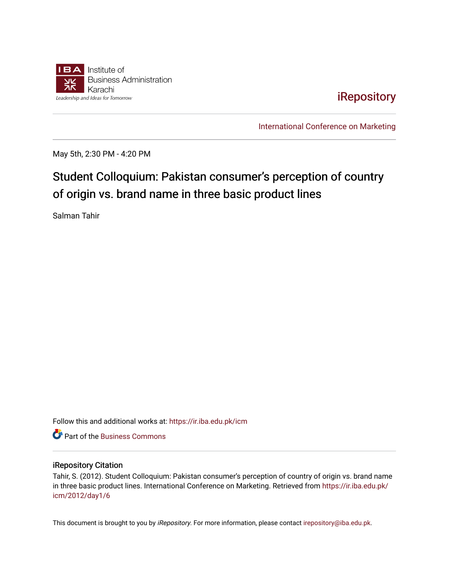

[iRepository](https://ir.iba.edu.pk/) 

[International Conference on Marketing](https://ir.iba.edu.pk/icm) 

May 5th, 2:30 PM - 4:20 PM

## Student Colloquium: Pakistan consumer's perception of country of origin vs. brand name in three basic product lines

Salman Tahir

Follow this and additional works at: [https://ir.iba.edu.pk/icm](https://ir.iba.edu.pk/icm?utm_source=ir.iba.edu.pk%2Ficm%2F2012%2Fday1%2F6&utm_medium=PDF&utm_campaign=PDFCoverPages) 

**C** Part of the [Business Commons](http://network.bepress.com/hgg/discipline/622?utm_source=ir.iba.edu.pk%2Ficm%2F2012%2Fday1%2F6&utm_medium=PDF&utm_campaign=PDFCoverPages)

## iRepository Citation

Tahir, S. (2012). Student Colloquium: Pakistan consumer's perception of country of origin vs. brand name in three basic product lines. International Conference on Marketing. Retrieved from [https://ir.iba.edu.pk/](https://ir.iba.edu.pk/icm/2012/day1/6?utm_source=ir.iba.edu.pk%2Ficm%2F2012%2Fday1%2F6&utm_medium=PDF&utm_campaign=PDFCoverPages) [icm/2012/day1/6](https://ir.iba.edu.pk/icm/2012/day1/6?utm_source=ir.iba.edu.pk%2Ficm%2F2012%2Fday1%2F6&utm_medium=PDF&utm_campaign=PDFCoverPages)

This document is brought to you by iRepository. For more information, please contact [irepository@iba.edu.pk](mailto:irepository@iba.edu.pk).